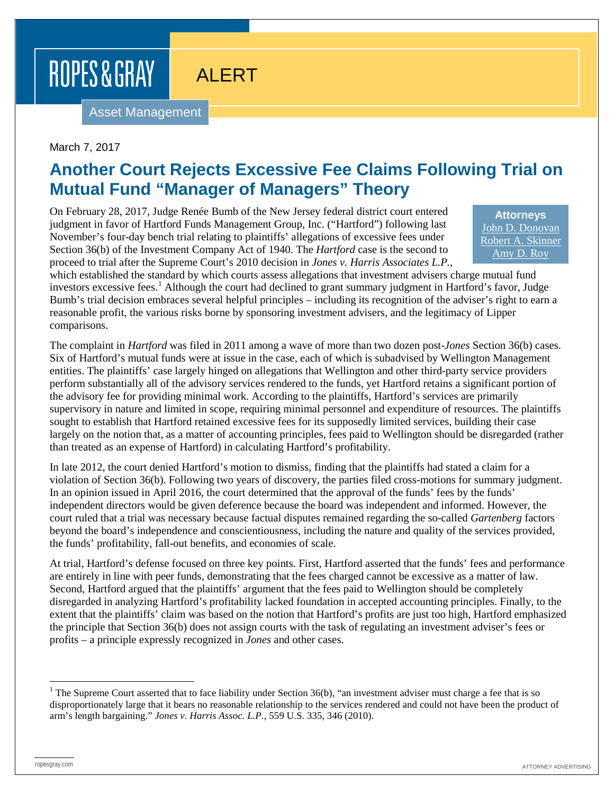ROPES & GRAY

## ALERT

Asset Management

## March 7, 2017

## **Another Court Rejects Excessive Fee Claims Following Trial on Mutual Fund "Manager of Managers" Theory**

On February 28, 2017, Judge Renée Bumb of the New Jersey federal district court entered judgment in favor of Hartford Funds Management Group, Inc. ("Hartford") following last November's four-day bench trial relating to plaintiffs' allegations of excessive fees under Section 36(b) of the Investment Company Act of 1940. The *Hartford* case is the second to proceed to trial after the Supreme Court's 2010 decision in *Jones v. Harris Associates L.P.*,

**Attorneys** [John D. Donovan](https://www.ropesgray.com/biographies/d/john-d-donovan.aspx) [Robert A. Skinner](https://www.ropesgray.com/biographies/s/robert-a-skinner.aspx) [Amy D. Roy](https://www.ropesgray.com/biographies/r/amy-d-roy.aspx)

which established the standard by which courts assess allegations that investment advisers charge mutual fund investors excessive fees.<sup>[1](#page-0-0)</sup> Although the court had declined to grant summary judgment in Hartford's favor, Judge Bumb's trial decision embraces several helpful principles – including its recognition of the adviser's right to earn a reasonable profit, the various risks borne by sponsoring investment advisers, and the legitimacy of Lipper comparisons.

The complaint in *Hartford* was filed in 2011 among a wave of more than two dozen post-*Jones* Section 36(b) cases. Six of Hartford's mutual funds were at issue in the case, each of which is subadvised by Wellington Management entities. The plaintiffs' case largely hinged on allegations that Wellington and other third-party service providers perform substantially all of the advisory services rendered to the funds, yet Hartford retains a significant portion of the advisory fee for providing minimal work. According to the plaintiffs, Hartford's services are primarily supervisory in nature and limited in scope, requiring minimal personnel and expenditure of resources. The plaintiffs sought to establish that Hartford retained excessive fees for its supposedly limited services, building their case largely on the notion that, as a matter of accounting principles, fees paid to Wellington should be disregarded (rather than treated as an expense of Hartford) in calculating Hartford's profitability.

In late 2012, the court denied Hartford's motion to dismiss, finding that the plaintiffs had stated a claim for a violation of Section 36(b). Following two years of discovery, the parties filed cross-motions for summary judgment. In an opinion issued in April 2016, the court determined that the approval of the funds' fees by the funds' independent directors would be given deference because the board was independent and informed. However, the court ruled that a trial was necessary because factual disputes remained regarding the so-called *Gartenberg* factors beyond the board's independence and conscientiousness, including the nature and quality of the services provided, the funds' profitability, fall-out benefits, and economies of scale.

At trial, Hartford's defense focused on three key points. First, Hartford asserted that the funds' fees and performance are entirely in line with peer funds, demonstrating that the fees charged cannot be excessive as a matter of law. Second, Hartford argued that the plaintiffs' argument that the fees paid to Wellington should be completely disregarded in analyzing Hartford's profitability lacked foundation in accepted accounting principles. Finally, to the extent that the plaintiffs' claim was based on the notion that Hartford's profits are just too high, Hartford emphasized the principle that Section 36(b) does not assign courts with the task of regulating an investment adviser's fees or profits – a principle expressly recognized in *Jones* and other cases.

<span id="page-0-0"></span><sup>&</sup>lt;sup>1</sup> The Supreme Court asserted that to face liability under Section  $36(b)$ , "an investment adviser must charge a fee that is so disproportionately large that it bears no reasonable relationship to the services rendered and could not have been the product of arm's length bargaining." *Jones v. Harris Assoc. L.P.*, 559 U.S. 335, 346 (2010).